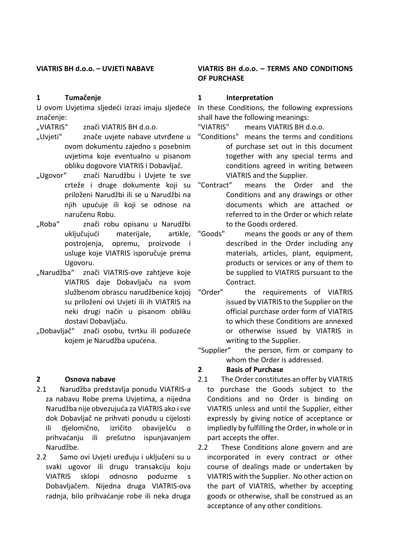#### **VIATRIS BH d.o.o. – UVJETI NABAVE**

#### **1 Tumačenje**

U ovom Uvjetima sljedeći izrazi imaju sljedeće značenje:

"VIATRIS" znači VIATRIS BH d.o.o.

- "Uvjeti" znače uvjete nabave utvrđene u ovom dokumentu zajedno s posebnim uvjetima koje eventualno u pisanom obliku dogovore VIATRIS i Dobavljač.
- "Ugovor" znači Narudžbu i Uvjete te sve crteže i druge dokumente koji su priloženi Narudžbi ili se u Narudžbi na njih upućuje ili koji se odnose na naručenu Robu.
- "Roba" znači robu opisanu u Narudžbi uključujući materijale, artikle, postrojenja, opremu, proizvode i usluge koje VIATRIS isporučuje prema Ugovoru.
- "Narudžba" znači VIATRIS-ove zahtjeve koje VIATRIS daje Dobavljaču na svom službenom obrascu narudžbenice kojoj su priloženi ovi Uvjeti ili ih VIATRIS na neki drugi način u pisanom obliku dostavi Dobavljaču.
- "Dobavljač" znači osobu, tvrtku ili poduzeće kojem je Narudžba upućena.

#### **2 Osnova nabave**

- 2.1 Narudžba predstavlja ponudu VIATRIS-a za nabavu Robe prema Uvjetima, a nijedna Narudžba nije obvezujuća za VIATRIS ako i sve dok Dobavljač ne prihvati ponudu u cijelosti ili djelomično, izričito obaviješću o prihvaćanju ili prešutno ispunjavanjem Narudžbe.
- 2.2 Samo ovi Uvjeti uređuju i uključeni su u svaki ugovor ili drugu transakciju koju VIATRIS sklopi odnosno poduzme s Dobavljačem. Nijedna druga VIATRIS-ova radnja, bilo prihvaćanje robe ili neka druga

### **VIATRIS BH d.o.o. – TERMS AND CONDITIONS OF PURCHASE**

#### **1 Interpretation**

In these Conditions, the following expressions shall have the following meanings:

"VIATRIS" means VIATRIS BH d.o.o.

- "Conditions" means the terms and conditions of purchase set out in this document together with any special terms and conditions agreed in writing between VIATRIS and the Supplier.
- "Contract" means the Order and the Conditions and any drawings or other documents which are attached or referred to in the Order or which relate to the Goods ordered.
- "Goods" means the goods or any of them described in the Order including any materials, articles, plant, equipment, products or services or any of them to be supplied to VIATRIS pursuant to the Contract.
- "Order" the requirements of VIATRIS issued by VIATRIS to the Supplier on the official purchase order form of VIATRIS to which these Conditions are annexed or otherwise issued by VIATRIS in writing to the Supplier.
- "Supplier" the person, firm or company to whom the Order is addressed.
- **2 Basis of Purchase**
- 2.1 The Order constitutes an offer by VIATRIS to purchase the Goods subject to the Conditions and no Order is binding on VIATRIS unless and until the Supplier, either expressly by giving notice of acceptance or impliedly by fulfilling the Order, in whole or in part accepts the offer.
- 2.2 These Conditions alone govern and are incorporated in every contract or other course of dealings made or undertaken by VIATRIS with the Supplier. No other action on the part of VIATRIS, whether by accepting goods or otherwise, shall be construed as an acceptance of any other conditions.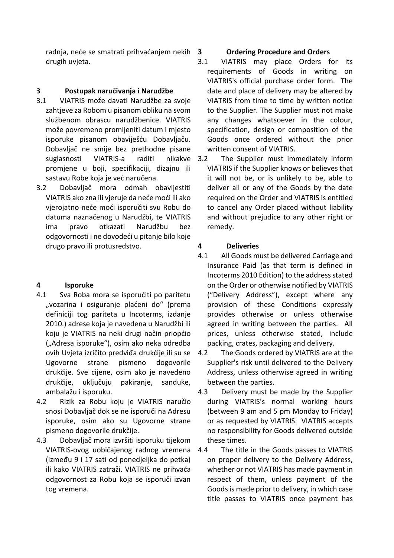radnja, neće se smatrati prihvaćanjem nekih drugih uvjeta.

## **3 Postupak naručivanja i Narudžbe**

- 3.1 VIATRIS može davati Narudžbe za svoje zahtjeve za Robom u pisanom obliku na svom službenom obrascu narudžbenice. VIATRIS može povremeno promijeniti datum i mjesto isporuke pisanom obaviješću Dobavljaču. Dobavljač ne smije bez prethodne pisane suglasnosti VIATRIS-a raditi nikakve promjene u boji, specifikaciji, dizajnu ili sastavu Robe koja je već naručena.
- 3.2 Dobavljač mora odmah obavijestiti VIATRIS ako zna ili vjeruje da neće moći ili ako vjerojatno neće moći isporučiti svu Robu do datuma naznačenog u Narudžbi, te VIATRIS ima pravo otkazati Narudžbu bez odgovornosti i ne dovodeći u pitanje bilo koje drugo pravo ili protusredstvo.

# **4 Isporuke**

- 4.1 Sva Roba mora se isporučiti po paritetu "vozarina i osiguranje plaćeni do" (prema definiciji tog pariteta u Incoterms, izdanje 2010.) adrese koja je navedena u Narudžbi ili koju je VIATRIS na neki drugi način priopćio ("Adresa isporuke"), osim ako neka odredba ovih Uvjeta izričito predviđa drukčije ili su se Ugovorne strane pismeno dogovorile drukčije. Sve cijene, osim ako je navedeno drukčije, uključuju pakiranje, sanduke, ambalažu i isporuku.
- 4.2 Rizik za Robu koju je VIATRIS naručio snosi Dobavljač dok se ne isporuči na Adresu isporuke, osim ako su Ugovorne strane pismeno dogovorile drukčije.
- 4.3 Dobavljač mora izvršiti isporuku tijekom VIATRIS-ovog uobičajenog radnog vremena (između 9 i 17 sati od ponedjeljka do petka) ili kako VIATRIS zatraži. VIATRIS ne prihvaća odgovornost za Robu koja se isporuči izvan tog vremena.

### **3 Ordering Procedure and Orders**

- 3.1 VIATRIS may place Orders for its requirements of Goods in writing on VIATRIS's official purchase order form. The date and place of delivery may be altered by VIATRIS from time to time by written notice to the Supplier. The Supplier must not make any changes whatsoever in the colour, specification, design or composition of the Goods once ordered without the prior written consent of VIATRIS.
- The Supplier must immediately inform VIATRIS if the Supplier knows or believes that it will not be, or is unlikely to be, able to deliver all or any of the Goods by the date required on the Order and VIATRIS is entitled to cancel any Order placed without liability and without prejudice to any other right or remedy.

### **4 Deliveries**

- 4.1 All Goods must be delivered Carriage and Insurance Paid (as that term is defined in Incoterms 2010 Edition) to the address stated on the Order or otherwise notified by VIATRIS ("Delivery Address"), except where any provision of these Conditions expressly provides otherwise or unless otherwise agreed in writing between the parties. All prices, unless otherwise stated, include packing, crates, packaging and delivery.
- 4.2 The Goods ordered by VIATRIS are at the Supplier's risk until delivered to the Delivery Address, unless otherwise agreed in writing between the parties.
- 4.3 Delivery must be made by the Supplier during VIATRIS's normal working hours (between 9 am and 5 pm Monday to Friday) or as requested by VIATRIS. VIATRIS accepts no responsibility for Goods delivered outside these times.
- 4.4 The title in the Goods passes to VIATRIS on proper delivery to the Delivery Address, whether or not VIATRIS has made payment in respect of them, unless payment of the Goods is made prior to delivery, in which case title passes to VIATRIS once payment has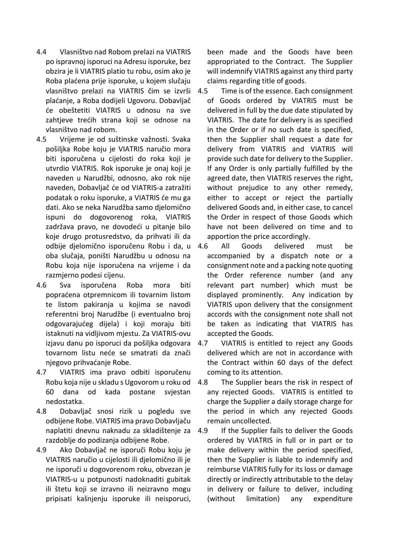- 4.4 Vlasništvo nad Robom prelazi na VIATRIS po ispravnoj isporuci na Adresu isporuke, bez obzira je li VIATRIS platio tu robu, osim ako je Roba plaćena prije isporuke, u kojem slučaju vlasništvo prelazi na VIATRIS čim se izvrši plaćanje, a Roba dodijeli Ugovoru. Dobavljač će obeštetiti VIATRIS u odnosu na sve zahtjeve trećih strana koji se odnose na vlasništvo nad robom.
- 4.5 Vrijeme je od suštinske važnosti. Svaka pošiljka Robe koju je VIATRIS naručio mora biti isporučena u cijelosti do roka koji je utvrdio VIATRIS. Rok isporuke je onaj koji je naveden u Narudžbi, odnosno, ako rok nije naveden, Dobavljač će od VIATRIS-a zatražiti podatak o roku isporuke, a VIATRIS će mu ga dati. Ako se neka Narudžba samo djelomično ispuni do dogovorenog roka, VIATRIS zadržava pravo, ne dovodeći u pitanje bilo koje drugo protusredstvo, da prihvati ili da odbije djelomično isporučenu Robu i da, u oba slučaja, poništi Narudžbu u odnosu na Robu koja nije isporučena na vrijeme i da razmjerno podesi cijenu.
- 4.6 Sva isporučena Roba mora biti popraćena otpremnicom ili tovarnim listom te listom pakiranja u kojima se navodi referentni broj Narudžbe (i eventualno broj odgovarajućeg dijela) i koji moraju biti istaknuti na vidljivom mjestu. Za VIATRIS-ovu izjavu danu po isporuci da pošiljka odgovara tovarnom listu neće se smatrati da znači njegovo prihvaćanje Robe.
- 4.7 VIATRIS ima pravo odbiti isporučenu Robu koja nije u skladu s Ugovorom u roku od 60 dana od kada postane svjestan nedostatka.
- 4.8 Dobavljač snosi rizik u pogledu sve odbijene Robe. VIATRIS ima pravo Dobavljaču naplatiti dnevnu naknadu za skladištenje za razdoblje do podizanja odbijene Robe.
- 4.9 Ako Dobavljač ne isporuči Robu koju je VIATRIS naručio u cijelosti ili djelomično ili je ne isporuči u dogovorenom roku, obvezan je VIATRIS-u u potpunosti nadoknaditi gubitak ili štetu koji se izravno ili neizravno mogu pripisati kašnjenju isporuke ili neisporuci,

been made and the Goods have been appropriated to the Contract. The Supplier will indemnify VIATRIS against any third party claims regarding title of goods.

- 4.5 Time is of the essence. Each consignment of Goods ordered by VIATRIS must be delivered in full by the due date stipulated by VIATRIS. The date for delivery is as specified in the Order or if no such date is specified, then the Supplier shall request a date for delivery from VIATRIS and VIATRIS will provide such date for delivery to the Supplier. If any Order is only partially fulfilled by the agreed date, then VIATRIS reserves the right, without prejudice to any other remedy, either to accept or reject the partially delivered Goods and, in either case, to cancel the Order in respect of those Goods which have not been delivered on time and to apportion the price accordingly.
- All Goods delivered must be accompanied by a dispatch note or a consignment note and a packing note quoting the Order reference number (and any relevant part number) which must be displayed prominently. Any indication by VIATRIS upon delivery that the consignment accords with the consignment note shall not be taken as indicating that VIATRIS has accepted the Goods.
- 4.7 VIATRIS is entitled to reject any Goods delivered which are not in accordance with the Contract within 60 days of the defect coming to its attention.
- 4.8 The Supplier bears the risk in respect of any rejected Goods. VIATRIS is entitled to charge the Supplier a daily storage charge for the period in which any rejected Goods remain uncollected.
- 4.9 If the Supplier fails to deliver the Goods ordered by VIATRIS in full or in part or to make delivery within the period specified, then the Supplier is liable to indemnify and reimburse VIATRIS fully for its loss or damage directly or indirectly attributable to the delay in delivery or failure to deliver, including (without limitation) any expenditure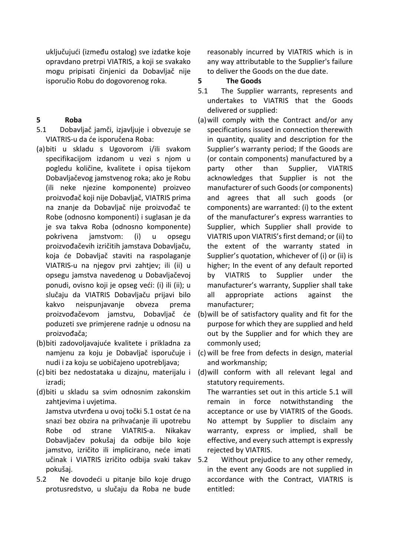uključujući (između ostalog) sve izdatke koje opravdano pretrpi VIATRIS, a koji se svakako mogu pripisati činjenici da Dobavljač nije isporučio Robu do dogovorenog roka.

### **5 Roba**

- 5.1 Dobavljač jamči, izjavljuje i obvezuje se VIATRIS-u da će isporučena Roba:
- (a)biti u skladu s Ugovorom i/ili svakom specifikacijom izdanom u vezi s njom u pogledu količine, kvalitete i opisa tijekom Dobavljačevog jamstvenog roka; ako je Robu (ili neke njezine komponente) proizveo proizvođač koji nije Dobavljač, VIATRIS prima na znanje da Dobavljač nije proizvođač te Robe (odnosno komponenti) i suglasan je da je sva takva Roba (odnosno komponente) pokrivena jamstvom: (i) u opsegu proizvođačevih izričitih jamstava Dobavljaču, koja će Dobavljač staviti na raspolaganje VIATRIS-u na njegov prvi zahtjev; ili (ii) u opsegu jamstva navedenog u Dobavljačevoj ponudi, ovisno koji je opseg veći: (i) ili (ii); u slučaju da VIATRIS Dobavljaču prijavi bilo kakvo neispunjavanje obveza prema proizvođačevom jamstvu, Dobavljač će poduzeti sve primjerene radnje u odnosu na proizvođača;
- (b)biti zadovoljavajuće kvalitete i prikladna za nudi i za koju se uobičajeno upotrebljava;
- izradi;
- (d)biti u skladu sa svim odnosnim zakonskim zahtjevima i uvjetima. Jamstva utvrđena u ovoj točki 5.1 ostat će na snazi bez obzira na prihvaćanje ili upotrebu Robe od strane VIATRIS-a. Nikakav Dobavljačev pokušaj da odbije bilo koje jamstvo, izričito ili implicirano, neće imati učinak i VIATRIS izričito odbija svaki takav pokušaj.
- 5.2 Ne dovodeći u pitanje bilo koje drugo protusredstvo, u slučaju da Roba ne bude

reasonably incurred by VIATRIS which is in any way attributable to the Supplier's failure to deliver the Goods on the due date.

### **5 The Goods**

- 5.1 The Supplier warrants, represents and undertakes to VIATRIS that the Goods delivered or supplied:
- (a)will comply with the Contract and/or any specifications issued in connection therewith in quantity, quality and description for the Supplier's warranty period; If the Goods are (or contain components) manufactured by a party other than Supplier, VIATRIS acknowledges that Supplier is not the manufacturer of such Goods (or components) and agrees that all such goods (or components) are warranted: (i) to the extent of the manufacturer's express warranties to Supplier, which Supplier shall provide to VIATRIS upon VIATRIS's first demand; or (ii) to the extent of the warranty stated in Supplier's quotation, whichever of (i) or (ii) is higher; In the event of any default reported by VIATRIS to Supplier under the manufacturer's warranty, Supplier shall take all appropriate actions against the manufacturer;
- (b)will be of satisfactory quality and fit for the purpose for which they are supplied and held out by the Supplier and for which they are commonly used;
- namjenu za koju je Dobavljač isporučuje i (c) will be free from defects in design, material and workmanship;
- (c) biti bez nedostataka u dizajnu, materijalu i (d)will conform with all relevant legal and statutory requirements.

The warranties set out in this article 5.1 will remain in force notwithstanding the acceptance or use by VIATRIS of the Goods. No attempt by Supplier to disclaim any warranty, express or implied, shall be effective, and every such attempt is expressly rejected by VIATRIS.

Without prejudice to any other remedy, in the event any Goods are not supplied in accordance with the Contract, VIATRIS is entitled: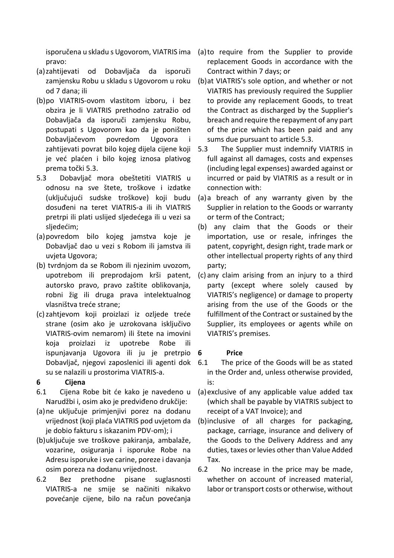pravo:

- (a)zahtijevati od Dobavljača da isporuči zamjensku Robu u skladu s Ugovorom u roku od 7 dana; ili
- (b)po VIATRIS-ovom vlastitom izboru, i bez obzira je li VIATRIS prethodno zatražio od Dobavljača da isporuči zamjensku Robu, postupati s Ugovorom kao da je poništen Dobavljačevom povredom Ugovora i zahtijevati povrat bilo kojeg dijela cijene koji 5.3 je već plaćen i bilo kojeg iznosa plativog prema točki 5.3.
- 5.3 Dobavljač mora obeštetiti VIATRIS u odnosu na sve štete, troškove i izdatke (uključujući sudske troškove) koji budu dosuđeni na teret VIATRIS-a ili ih VIATRIS pretrpi ili plati uslijed sljedećega ili u vezi sa sljedećim;
- (a)povredom bilo kojeg jamstva koje je Dobavljač dao u vezi s Robom ili jamstva ili uvjeta Ugovora;
- (b) tvrdnjom da se Robom ili njezinim uvozom, upotrebom ili preprodajom krši patent, autorsko pravo, pravo zaštite oblikovanja, robni žig ili druga prava intelektualnog vlasništva treće strane;
- (c)zahtjevom koji proizlazi iz ozljede treće strane (osim ako je uzrokovana isključivo VIATRIS-ovim nemarom) ili štete na imovini koja proizlazi iz upotrebe Robe ili ispunjavanja Ugovora ili ju je pretrpio 6 Dobavljač, njegovi zaposlenici ili agenti dok su se nalazili u prostorima VIATRIS-a.

### **6 Cijena**

- 6.1 Cijena Robe bit će kako je navedeno u Narudžbi i, osim ako je predviđeno drukčije:
- (a)ne uključuje primjenjivi porez na dodanu je dobio fakturu s iskazanim PDV-om); i
- (b)uključuje sve troškove pakiranja, ambalaže, vozarine, osiguranja i isporuke Robe na Adresu isporuke i sve carine, poreze i davanja osim poreza na dodanu vrijednost.
- 6.2 Bez prethodne pisane suglasnosti VIATRIS-a ne smije se načiniti nikakvo povećanje cijene, bilo na račun povećanja
- isporučena u skladu s Ugovorom, VIATRIS ima (a)to require from the Supplier to provide replacement Goods in accordance with the Contract within 7 days; or
	- (b)at VIATRIS's sole option, and whether or not VIATRIS has previously required the Supplier to provide any replacement Goods, to treat the Contract as discharged by the Supplier's breach and require the repayment of any part of the price which has been paid and any sums due pursuant to article 5.3.
	- The Supplier must indemnify VIATRIS in full against all damages, costs and expenses (including legal expenses) awarded against or incurred or paid by VIATRIS as a result or in connection with:
	- (a)a breach of any warranty given by the Supplier in relation to the Goods or warranty or term of the Contract;
	- (b) any claim that the Goods or their importation, use or resale, infringes the patent, copyright, design right, trade mark or other intellectual property rights of any third party;
	- (c) any claim arising from an injury to a third party (except where solely caused by VIATRIS's negligence) or damage to property arising from the use of the Goods or the fulfillment of the Contract or sustained by the Supplier, its employees or agents while on VIATRIS's premises.

### **6 Price**

- 6.1 The price of the Goods will be as stated in the Order and, unless otherwise provided, is:
- (a)exclusive of any applicable value added tax (which shall be payable by VIATRIS subject to receipt of a VAT Invoice); and
- vrijednost (koji plaća VIATRIS pod uvjetom da (b)inclusive of all charges for packaging, package, carriage, insurance and delivery of the Goods to the Delivery Address and any duties, taxes or levies other than Value Added Tax.
	- 6.2 No increase in the price may be made, whether on account of increased material, labor or transport costs or otherwise, without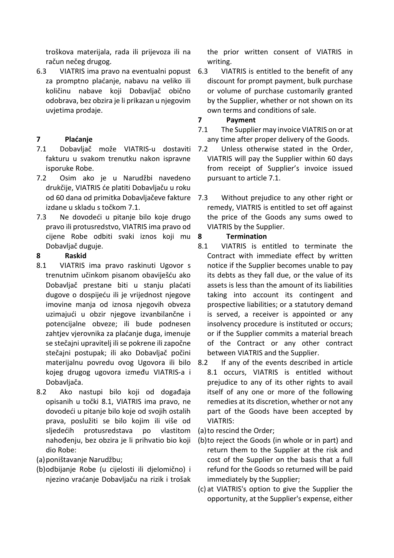troškova materijala, rada ili prijevoza ili na račun nečeg drugog.

6.3 VIATRIS ima pravo na eventualni popust za promptno plaćanje, nabavu na veliko ili količinu nabave koji Dobavljač obično odobrava, bez obzira je li prikazan u njegovim uvjetima prodaje.

# **7 Plaćanje**

- 7.1 Dobavljač može VIATRIS-u dostaviti fakturu u svakom trenutku nakon ispravne isporuke Robe.
- 7.2 Osim ako je u Narudžbi navedeno drukčije, VIATRIS će platiti Dobavljaču u roku od 60 dana od primitka Dobavljačeve fakture izdane u skladu s točkom 7.1.
- 7.3 Ne dovodeći u pitanje bilo koje drugo pravo ili protusredstvo, VIATRIS ima pravo od cijene Robe odbiti svaki iznos koji mu Dobavljač duguje.

### **8 Raskid**

- 8.1 VIATRIS ima pravo raskinuti Ugovor s trenutnim učinkom pisanom obaviješću ako Dobavljač prestane biti u stanju plaćati dugove o dospijeću ili je vrijednost njegove imovine manja od iznosa njegovih obveza uzimajući u obzir njegove izvanbilančne i potencijalne obveze; ili bude podnesen zahtjev vjerovnika za plaćanje duga, imenuje se stečajni upravitelj ili se pokrene ili započne stečajni postupak; ili ako Dobavljač počini materijalnu povredu ovog Ugovora ili bilo kojeg drugog ugovora između VIATRIS-a i Dobavljača.
- 8.2 Ako nastupi bilo koji od događaja opisanih u točki 8.1, VIATRIS ima pravo, ne dovodeći u pitanje bilo koje od svojih ostalih prava, poslužiti se bilo kojim ili više od sljedećih protusredstava po vlastitom nahođenju, bez obzira je li prihvatio bio koji dio Robe:
- (a)poništavanje Narudžbu;
- (b)odbijanje Robe (u cijelosti ili djelomično) i njezino vraćanje Dobavljaču na rizik i trošak

the prior written consent of VIATRIS in writing.

- VIATRIS is entitled to the benefit of any discount for prompt payment, bulk purchase or volume of purchase customarily granted by the Supplier, whether or not shown on its own terms and conditions of sale.
- **7 Payment**
- 7.1 The Supplier may invoice VIATRIS on or at any time after proper delivery of the Goods.
- 7.2 Unless otherwise stated in the Order, VIATRIS will pay the Supplier within 60 days from receipt of Supplier's invoice issued pursuant to article 7.1.
- 7.3 Without prejudice to any other right or remedy, VIATRIS is entitled to set off against the price of the Goods any sums owed to VIATRIS by the Supplier.

## **8 Termination**

- 8.1 VIATRIS is entitled to terminate the Contract with immediate effect by written notice if the Supplier becomes unable to pay its debts as they fall due, or the value of its assets is less than the amount of its liabilities taking into account its contingent and prospective liabilities; or a statutory demand is served, a receiver is appointed or any insolvency procedure is instituted or occurs; or if the Supplier commits a material breach of the Contract or any other contract between VIATRIS and the Supplier.
- 8.2 If any of the events described in article 8.1 occurs, VIATRIS is entitled without prejudice to any of its other rights to avail itself of any one or more of the following remedies at its discretion, whether or not any part of the Goods have been accepted by VIATRIS:

(a)to rescind the Order;

- (b)to reject the Goods (in whole or in part) and return them to the Supplier at the risk and cost of the Supplier on the basis that a full refund for the Goods so returned will be paid immediately by the Supplier;
- (c) at VIATRIS's option to give the Supplier the opportunity, at the Supplier's expense, either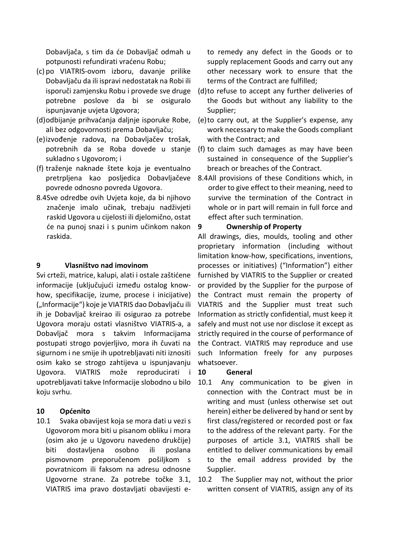Dobavljača, s tim da će Dobavljač odmah u potpunosti refundirati vraćenu Robu;

- (c) po VIATRIS-ovom izboru, davanje prilike Dobavljaču da ili ispravi nedostatak na Robi ili isporuči zamjensku Robu i provede sve druge potrebne poslove da bi se osiguralo ispunjavanje uvjeta Ugovora;
- (d)odbijanje prihvaćanja daljnje isporuke Robe, ali bez odgovornosti prema Dobavljaču;
- (e)izvođenje radova, na Dobavljačev trošak, sukladno s Ugovorom; i
- (f) traženje naknade štete koja je eventualno pretrpljena kao posljedica Dobavljačeve povrede odnosno povreda Ugovora.
- 8.4Sve odredbe ovih Uvjeta koje, da bi njihovo značenje imalo učinak, trebaju nadživjeti raskid Ugovora u cijelosti ili djelomično, ostat će na punoj snazi i s punim učinkom nakon raskida.

### **9 Vlasništvo nad imovinom**

Svi crteži, matrice, kalupi, alati i ostale zaštićene informacije (uključujući između ostalog knowhow, specifikacije, izume, procese i inicijative) ("Informacije") koje je VIATRIS dao Dobavljaču ili ih je Dobavljač kreirao ili osigurao za potrebe Ugovora moraju ostati vlasništvo VIATRIS-a, a Dobavljač mora s takvim Informacijama postupati strogo povjerljivo, mora ih čuvati na sigurnom i ne smije ih upotrebljavati niti iznositi osim kako se strogo zahtijeva u ispunjavanju Ugovora. VIATRIS može reproducirati i upotrebljavati takve Informacije slobodno u bilo koju svrhu.

#### **10 Općenito**

10.1 Svaka obavijest koja se mora dati u vezi s Ugovorom mora biti u pisanom obliku i mora (osim ako je u Ugovoru navedeno drukčije) biti dostavljena osobno ili poslana pismovnom preporučenom pošiljkom s povratnicom ili faksom na adresu odnosne Ugovorne strane. Za potrebe točke 3.1, VIATRIS ima pravo dostavljati obavijesti e-

to remedy any defect in the Goods or to supply replacement Goods and carry out any other necessary work to ensure that the terms of the Contract are fulfilled;

- (d)to refuse to accept any further deliveries of the Goods but without any liability to the Supplier;
- (e)to carry out, at the Supplier's expense, any work necessary to make the Goods compliant with the Contract; and
- potrebnih da se Roba dovede u stanje (f) to claim such damages as may have been sustained in consequence of the Supplier's breach or breaches of the Contract.
	- 8.4All provisions of these Conditions which, in order to give effect to their meaning, need to survive the termination of the Contract in whole or in part will remain in full force and effect after such termination.

#### **9 Ownership of Property**

All drawings, dies, moulds, tooling and other proprietary information (including without limitation know-how, specifications, inventions, processes or initiatives) ("Information") either furnished by VIATRIS to the Supplier or created or provided by the Supplier for the purpose of the Contract must remain the property of VIATRIS and the Supplier must treat such Information as strictly confidential, must keep it safely and must not use nor disclose it except as strictly required in the course of performance of the Contract. VIATRIS may reproduce and use such Information freely for any purposes whatsoever.

#### **10 General**

- 10.1 Any communication to be given in connection with the Contract must be in writing and must (unless otherwise set out herein) either be delivered by hand or sent by first class/registered or recorded post or fax to the address of the relevant party. For the purposes of article 3.1, VIATRIS shall be entitled to deliver communications by email to the email address provided by the Supplier.
- 10.2 The Supplier may not, without the prior written consent of VIATRIS, assign any of its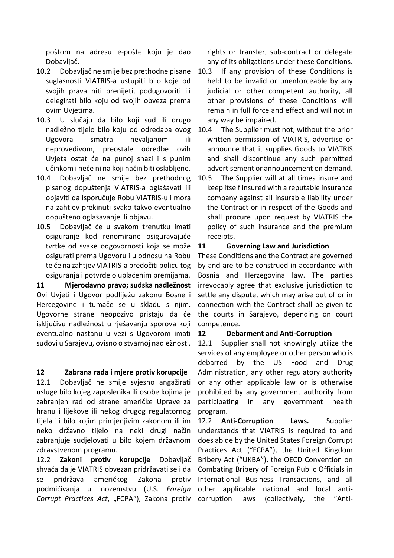poštom na adresu e-pošte koju je dao Dobavljač.

- 10.2 Dobavljač ne smije bez prethodne pisane suglasnosti VIATRIS-a ustupiti bilo koje od svojih prava niti prenijeti, podugovoriti ili delegirati bilo koju od svojih obveza prema ovim Uvjetima.
- 10.3 U slučaju da bilo koji sud ili drugo nadležno tijelo bilo koju od odredaba ovog Ugovora smatra nevaljanom ili neprovedivom, preostale odredbe ovih Uvjeta ostat će na punoj snazi i s punim učinkom i neće ni na koji način biti oslabljene.
- 10.4 Dobavljač ne smije bez prethodnog pisanog dopuštenja VIATRIS-a oglašavati ili objaviti da isporučuje Robu VIATRIS-u i mora na zahtjev prekinuti svako takvo eventualno dopušteno oglašavanje ili objavu.
- 10.5 Dobavljač će u svakom trenutku imati osiguranje kod renomirane osiguravajuće tvrtke od svake odgovornosti koja se može osigurati prema Ugovoru i u odnosu na Robu te će na zahtjev VIATRIS-a predočiti policu tog osiguranja i potvrde o uplaćenim premijama.

**11 Mjerodavno pravo; sudska nadležnost**  Ovi Uvjeti i Ugovor podliježu zakonu Bosne i Hercegovine i tumače se u skladu s njim. Ugovorne strane neopozivo pristaju da će isključivu nadležnost u rješavanju sporova koji eventualno nastanu u vezi s Ugovorom imati sudovi u Sarajevu, ovisno o stvarnoj nadležnosti.

#### **12 Zabrana rada i mjere protiv korupcije**

12.1 Dobavljač ne smije svjesno angažirati usluge bilo kojeg zaposlenika ili osobe kojima je zabranjen rad od strane američke Uprave za hranu i lijekove ili nekog drugog regulatornog tijela ili bilo kojim primjenjivim zakonom ili im neko državno tijelo na neki drugi način zabranjuje sudjelovati u bilo kojem državnom zdravstvenom programu.

12.2 **Zakoni protiv korupcije** Dobavljač shvaća da je VIATRIS obvezan pridržavati se i da se pridržava američkog Zakona protiv podmićivanja u inozemstvu (U.S. *Foreign*  Corrupt Practices Act, "FCPA"), Zakona protiv corruption laws (collectively, the "Anti-

rights or transfer, sub-contract or delegate any of its obligations under these Conditions.

- 10.3 If any provision of these Conditions is held to be invalid or unenforceable by any judicial or other competent authority, all other provisions of these Conditions will remain in full force and effect and will not in any way be impaired.
- 10.4 The Supplier must not, without the prior written permission of VIATRIS, advertise or announce that it supplies Goods to VIATRIS and shall discontinue any such permitted advertisement or announcement on demand.
- 10.5 The Supplier will at all times insure and keep itself insured with a reputable insurance company against all insurable liability under the Contract or in respect of the Goods and shall procure upon request by VIATRIS the policy of such insurance and the premium receipts.

### **11 Governing Law and Jurisdiction**

These Conditions and the Contract are governed by and are to be construed in accordance with Bosnia and Herzegovina law. The parties irrevocably agree that exclusive jurisdiction to settle any dispute, which may arise out of or in connection with the Contract shall be given to the courts in Sarajevo, depending on court competence.

#### **12 Debarment and Anti-Corruption**

12.1 Supplier shall not knowingly utilize the services of any employee or other person who is debarred by the US Food and Drug Administration, any other regulatory authority or any other applicable law or is otherwise prohibited by any government authority from participating in any government health program.

12.2 **Anti-Corruption Laws.** Supplier understands that VIATRIS is required to and does abide by the United States Foreign Corrupt Practices Act ("FCPA"), the United Kingdom Bribery Act ("UKBA"), the OECD Convention on Combating Bribery of Foreign Public Officials in International Business Transactions, and all other applicable national and local anti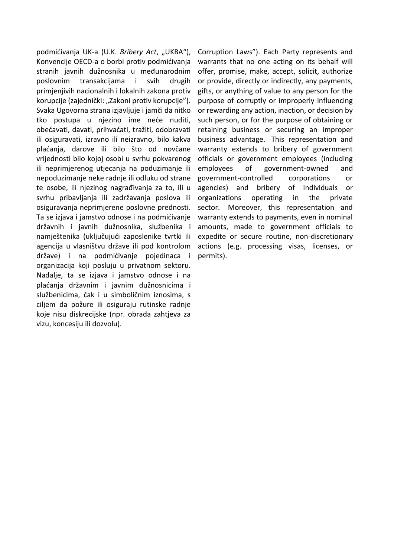podmićivanja UK-a (U.K. Bribery Act, "UKBA"), Konvencije OECD-a o borbi protiv podmićivanja stranih javnih dužnosnika u međunarodnim poslovnim transakcijama i svih drugih primjenjivih nacionalnih i lokalnih zakona protiv korupcije (zajednički: "Zakoni protiv korupcije"). Svaka Ugovorna strana izjavljuje i jamči da nitko tko postupa u njezino ime neće nuditi, obećavati, davati, prihvaćati, tražiti, odobravati ili osiguravati, izravno ili neizravno, bilo kakva plaćanja, darove ili bilo što od novčane vrijednosti bilo kojoj osobi u svrhu pokvarenog ili neprimjerenog utjecanja na poduzimanje ili nepoduzimanje neke radnje ili odluku od strane te osobe, ili njezinog nagrađivanja za to, ili u svrhu pribavljanja ili zadržavanja poslova ili osiguravanja neprimjerene poslovne prednosti. Ta se izjava i jamstvo odnose i na podmićivanje državnih i javnih dužnosnika, službenika i namještenika (uključujući zaposlenike tvrtki ili agencija u vlasništvu države ili pod kontrolom države) i na podmićivanje pojedinaca i organizacija koji posluju u privatnom sektoru. Nadalje, ta se izjava i jamstvo odnose i na plaćanja državnim i javnim dužnosnicima i službenicima, čak i u simboličnim iznosima, s ciljem da požure ili osiguraju rutinske radnje koje nisu diskrecijske (npr. obrada zahtjeva za vizu, koncesiju ili dozvolu).

Corruption Laws"). Each Party represents and warrants that no one acting on its behalf will offer, promise, make, accept, solicit, authorize or provide, directly or indirectly, any payments, gifts, or anything of value to any person for the purpose of corruptly or improperly influencing or rewarding any action, inaction, or decision by such person, or for the purpose of obtaining or retaining business or securing an improper business advantage. This representation and warranty extends to bribery of government officials or government employees (including employees of government-owned and government-controlled corporations or agencies) and bribery of individuals or organizations operating in the private sector. Moreover, this representation and warranty extends to payments, even in nominal amounts, made to government officials to expedite or secure routine, non-discretionary actions (e.g. processing visas, licenses, or permits).